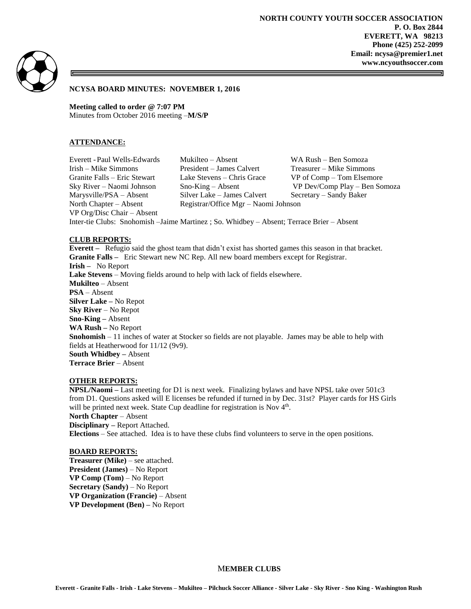**NORTH COUNTY YOUTH SOCCER ASSOCIATION P. O. Box 2844 EVERETT, WA 98213 Phone (425) 252-2099 Email: ncysa@premier1.net www.ncyouthsoccer.com**



# **NCYSA BOARD MINUTES: NOVEMBER 1, 2016**

**Meeting called to order @ 7:07 PM** Minutes from October 2016 meeting –**M/S/P**

### **ATTENDANCE:**

VP Org/Disc Chair – Absent

Everett -Paul Wells-Edwards Mukilteo – Absent WA Rush – Ben Somoza Irish – Mike Simmons President – James Calvert Treasurer – Mike Simmons Granite Falls – Eric Stewart Lake Stevens – Chris Grace VP of Comp – Tom Elsemore Marysville/PSA – Absent Silver Lake – James Calvert Secretary – Sandy Baker North Chapter – Absent Registrar/Office Mgr – Naomi Johnson

Sky River – Naomi Johnson Sno-King – Absent VP Dev/Comp Play – Ben Somoza

Inter-tie Clubs: Snohomish –Jaime Martinez ; So. Whidbey – Absent; Terrace Brier – Absent

### **CLUB REPORTS:**

**Everett –** Refugio said the ghost team that didn't exist has shorted games this season in that bracket. **Granite Falls –** Eric Stewart new NC Rep. All new board members except for Registrar. **Irish –** No Report **Lake Stevens** – Moving fields around to help with lack of fields elsewhere. **Mukilteo** – Absent **PSA** – Absent **Silver Lake –** No Repot **Sky River** – No Repot **Sno-King –** Absent **WA Rush –** No Report **Snohomish** – 11 inches of water at Stocker so fields are not playable. James may be able to help with fields at Heatherwood for 11/12 (9v9). **South Whidbey –** Absent **Terrace Brier** – Absent

# **OTHER REPORTS:**

**NPSL/Naomi –** Last meeting for D1 is next week. Finalizing bylaws and have NPSL take over 501c3 from D1. Questions asked will E licenses be refunded if turned in by Dec. 31st? Player cards for HS Girls will be printed next week. State Cup deadline for registration is Nov 4<sup>th</sup>. **North Chapter** – Absent **Disciplinary –** Report Attached.

**Elections** – See attached. Idea is to have these clubs find volunteers to serve in the open positions.

#### **BOARD REPORTS:**

**Treasurer (Mike)** – see attached. **President (James)** – No Report **VP Comp (Tom)** – No Report **Secretary (Sandy)** – No Report **VP Organization (Francie)** – Absent **VP Development (Ben) –** No Report

### M**EMBER CLUBS**